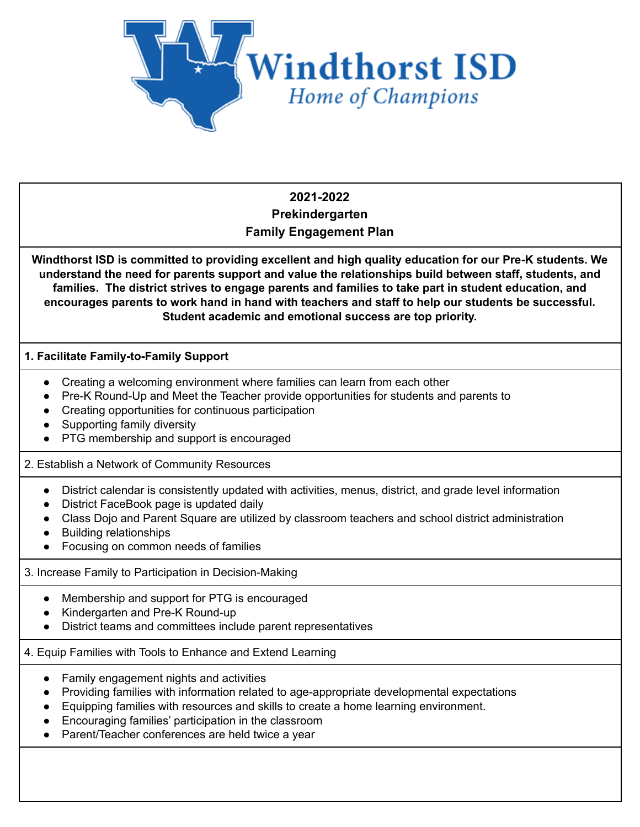

# **2021-2022 Prekindergarten Family Engagement Plan**

**Windthorst ISD is committed to providing excellent and high quality education for our Pre-K students. We understand the need for parents support and value the relationships build between staff, students, and families. The district strives to engage parents and families to take part in student education, and encourages parents to work hand in hand with teachers and staff to help our students be successful. Student academic and emotional success are top priority.**

## **1. Facilitate Family-to-Family Support**

- Creating a welcoming environment where families can learn from each other
- Pre-K Round-Up and Meet the Teacher provide opportunities for students and parents to
- Creating opportunities for continuous participation
- Supporting family diversity
- PTG membership and support is encouraged

## 2. Establish a Network of Community Resources

- District calendar is consistently updated with activities, menus, district, and grade level information
- District FaceBook page is updated daily
- Class Dojo and Parent Square are utilized by classroom teachers and school district administration
- Building relationships
- Focusing on common needs of families

### 3. Increase Family to Participation in Decision-Making

- Membership and support for PTG is encouraged
- Kindergarten and Pre-K Round-up
- District teams and committees include parent representatives

## 4. Equip Families with Tools to Enhance and Extend Learning

- Family engagement nights and activities
- Providing families with information related to age-appropriate developmental expectations
- Equipping families with resources and skills to create a home learning environment.
- Encouraging families' participation in the classroom
- Parent/Teacher conferences are held twice a year